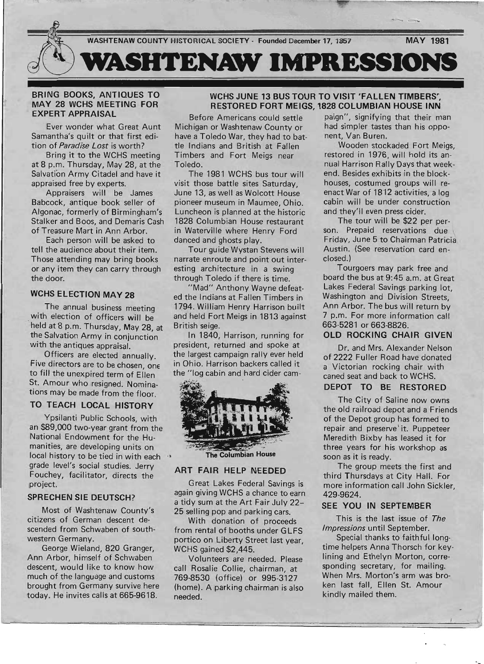

### .BRING BOOKS, ANTIQUES TO MAY 28 WCHS MEETING FOR EXPERT APPRAISAL

Ever wonder what Great Aunt Samantha's quilt or that first edition of *Paradise Lost* is worth?

Bring it to the WCHS meeting at 8 p.m. Thursday, May 28, at the Salvation Army Citadel and have it appraised free by experts.

Appraisers will be James Babcock, antique book seller of Algonac, formerly of Birmingham's Stalker and Boos, and Demaris Cash of Treasure Mart in Ann Arbor.

Each person will be asked to tell the audience about their item. Those attending may bring books or any item they can carry through the door.

## WCHS ELECTION MAY 28

The annual business meeting with election of officers will be held at 8 p.m. Thursday, May 28, at the Salvation Army in conjunction with the antiques appraisal.

Officers are elected annually. Five directors are to be chosen, one to fill the unexpired term of Ellen St. Amour who resigned. Nominations may be made from the floor.

# TO TEACH LOCAL HISTORY

Ypsilanti Public Schools, with an \$89,000 two-year grant from the National Endowment for the Humanities, are developing units on local history to be tied in with each grade level's social studies. Jerry Fouchey, facilitator, directs the project.

## SPRECHEN SIE DEUTSCH?

Most of Washtenaw County's citizens of German descent descended from Schwaben of southwestern Germany.

George Wieland, 820 Granger, Ann Arbor, himself of Schwaben descent, would like to know how much of the language and customs brought from Germany survive here today. He invites calls at 665-9618.

## WCHS JUNE 13 BUS TOUR TO VISIT 'FALLEN TIMBERS", RESTORED FORT MEIGS, 1828 COLUMBIAN HOUSE INN

Before Americans could settle Michigan or Washtenaw County or have a Toledo War, they had to battle Indians and British at Fallen Timbers and Fort Meigs near Toledo.

The 1981 WCHS bus tour will visit those battle sites Saturday, June 13, as well as Wolcott House pioneer museum in Maumee, Ohio. Luncheon is planned at the historic 1828 Columbian House restaurant in Waterville where Henry Ford danced and ghosts play.

Tour guide Wystan Stevens will narrate enroute and point out interesting architecture in a swing through Toledo if there is time.

"Mad" Anthony Wayne defeated the Indians at Fallen Timbers in 1794. William Henry Harrison built and held Fort Meigs in 1813 against British seige.

In 1840, Harrison, running for president, returned and spoke at the largest campaign rally ever held in Ohio. Harrison backers called it the "log cabin and hard cider cam-



The Columbian House

### ART FAIR HELP NEEDED

Great Lakes Federal Savings is again giving WCHS a chance to earn a tidy sum at the Art Fair July 22-- 25 selling pop and parking cars.

With donation of proceeds from rental of booths under GLFS portico on Liberty Street last year, WCHS gained \$2,445.

Volunteers are needed. Please call Rosalie Collie, chairman, at 769-8530 (office) or 995-3127 (home). A parking chairman is also needed.

paign", signifying that their man had simpler tastes than his opponent, Van Buren.

Wooden stockaded Fort Meigs, restored in 1976, will hold its annual Harrison Rally Days that weekend. Besides exhibits in the blockhouses, costumed groups will reenact War of 1812 activities, a log cabin will be under construction and they'll even press cider.

The tour will be \$22 per person. Prepaid reservations due Friday, June 5 to Chairman Patricia\ Austin. (See reservation card enclosed.)

Tourgoers may park free and board the bus at 9:45 a.m. at Great Lakes Federal Savings parking lot, Washington and Division Streets, Ann Arbor. The bus will return by 7 p.m. For more information call 663-5281 or 663-8826.

### OLD ROCKING CHAIR GIVEN

Dr. and Mrs. Alexander Nelson of 2222 Fuller Road have donated a Victorian rocking chair with caned seat and back to WCHS.

### DEPOT TO BE RESTORED

The City of Saline now owns the old railroad depot and a Friends of the Depot group has formed to repair and preserve' it. Puppeteer Meredith Bixby has leased it for three years for his workshop as soon as it is ready.

The group meets the first and third Thursdays at City Hall. For more information call John Sickler, 429-9624.

### SEE YOU IN SEPTEMBER

This is the last issue of The *Impressions* until September.

Special thanks to faithful longtime helpers Anna Thorsch for keylining and Ethelyn Morton, corresponding secretary, for mailing. When Mrs. Morton's arm was broken last fall, Ellen St. Amour kindly mailed them.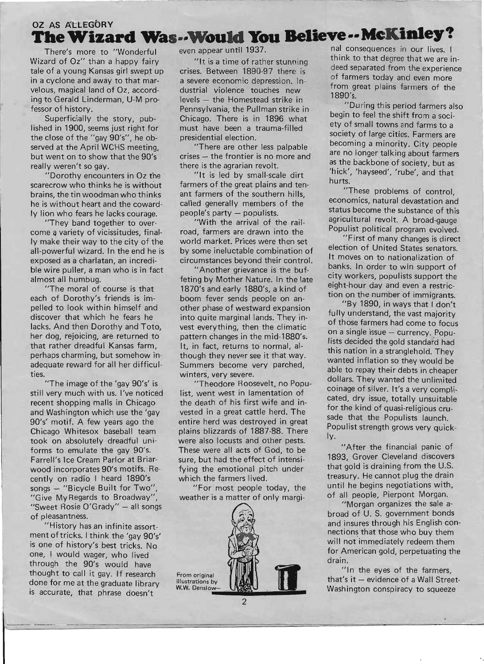# **OZ AS ATLEGORY The Wizard Was--Would You Believe--McKinley?**

There's more to "Wonderful Wizard of Oz" than a happy fairy tale of a young Kansas girl swept up in a cyclone and away to that marvelous, magical land of Oz, according to Gerald Linderman, U-M professor of history.

Superficially the story, published in 1900, seems just right for the close of the *"gay* 90's", he observed at the April WCHS meeting, but went on to show that the 90's really weren't so gay.

"Dorothy encounters in Oz the scarecrow who thinks he is without brains, the tin woodman who thinks he is without heart and the cowardly lion who fears he lacks courage.

"They band together to overcome *q* variety of vicissitudes, finally make their way to the city of the all-powerful wizard. In the end he is exposed as a charlatan, an incredible wire puller, a man who is in fact almost all humbug.

"The moral of course is that each of Dorothy's friends is impelled to look within himself and discover that which he fears he lacks. And then Dorothy and Toto, her dog, rejoicing, are returned to that rather dreadful Kansas farm, perhaps charming, but somehow inadequate reward for all her difficulties.

"The image of the 'gay 90's' is still very much with us. I've noticed recent shopping malls in Chicago and Washington which use the 'gay 90's' motif. A few years ago the Chicago Whitesox baseball team took on absolutely dreadful uniforms to emulate the gay 90's. Farrell's Ice Cream Parlor at Briarwood incorporates 90's motifs. Recently on radio I heard 1890's songs - "Bicycle Built for Two" "Give MyRegards to Broadway", "Sweet Rosie O'Grady" - all songs of pleasantness.

"History has an infinite assortment of tricks. I think the 'gay 90's' is one of history's best tricks. No one, I would wager, who lived through the 90's would have thought to call it gay. If research done for me at the graduate library is accurate, that phrase doesn't

even appear until 1937.

"It is a time of rather stunning crises. Between 1890-97 there is a severe economic depression. Industrial violence touches new levels - the Homestead strike in Pennsylvania, the Pullman strike in Chicago. There is in 1896 what must have been a trauma-filled presidential election.

"There are other less palpable crises - the frontier is no more and there is the agrarian revolt.

"It is led by small-scale dirt farmers of the great plains and tenant farmers of the southern hills called generally members of the' people's party - populists.

"With the arrival of the railroad, farmers are drawn into the world market. Prices were then set by some ineluctable combination of circumstances beyond their control.

"Another grievance is the buffeting by Mother Nature. In the late 1870's and early 1880's, a kind of boom fever sends people on another phase of westward expansion into quite marginal lands. They invest everything, then the climatic pattern changes in the mid-1880's. It, in fact, returns to normal, although they never see it that way. Summers become very parched, winters, very severe.

"Theodore Roosevelt, no Populist, went west in lamentation of the death of his first wife and invested in a great cattle herd. The entire herd was destroyed in great plains blizzards of 1887-88. There were also locusts and other pests. These were all acts of God, to be sure, but had the effect of intensifying the emotional pitch under which the farmers lived.

"For most people today, the weather is a matter of only margi-



2

nal consequences in our lives. I think to that degree that we are indeed separated from the experience of farmers today and even more from great plains farmers of the 1890's.

"During this period farmers also begin to feel the shift from a society of small towns and farms to a society of large cities. Farmers are becoming a minority. City people are no longer talking about farmers as the backbone of society, but as 'hick', 'hayseed', 'rube', and that hurts.

"These problems of control, economics, natural devastation and status become the substance of this agricultural revolt. A broad-gauge Populist political program evolved.

"First of many changes is direct election of United States senators. It moves on to nationalization of banks. In order to win support of city workers, populists support the eight-hour day and even a restriction on the number of immigrants.

"By 1890, in ways that I don't fully understand, the vast majority of those farmers had come to focus on a single issue - currency. Populists decided the gold standard had this nation in a stranglehold. They wanted inflation so they would be able to repay their debts in cheaper dollars. They wanted the unlimited coinage of silver. It's a very complicated, dry issue, totally unsuitable for the kind of quasi-religious crusade that the Populists launch. Populist strength grows very quickly.

"After the financial panic of 1893, Grover Cleveland discovers that gold is draining from the U.S. treasury. He cannot plug the drain until he begins negotiations with, of all people, Pierpont Morgan.

"Morgan organizes the sale abroad of U. S. government bonds and insures through his English connections that those who buy them will not immediately redeem them for American gold, perpetuating the drain.

"In the eyes of the farmers, that's it - evidence of a Wall Street-Washington conspiracy to squeeze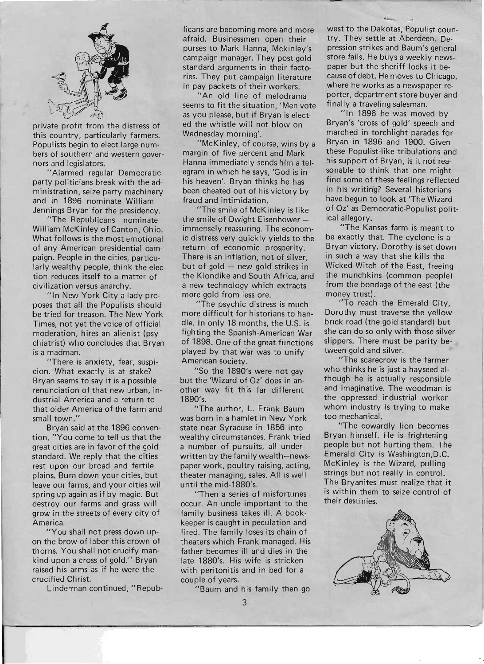

private profit from the distress of this country, particularly farmers. Populists begin to elect large numbers of southern and western governors and legislators.

"Alarmed regular Democratic party politicians break with the administration, seize party machinery and in 1896 nominate William Jennings Bryan for the presidency.

"The Republicans nominate William McKinley of Canton, Ohio. What follows is the most emotional of any American presidential campaign. People in the cities, particularly wealthy people, think the election reduces itself to a matter of civilization versus anarchy.

"In New York City a lady proposes that all the Populists should be tried for treason. The New York Times, not yet the voice of official moderation, hires an alienist (psychiatrist) who concludes that Bryan is a madman.

"There is anxiety, fear, suspicion. What exactly is at stake? Bryan seems to say it is a possible renunciation of that new urban, industrial America and a return to that older America of the farm and small town."

Bryan said at the 1896 convention, "You come to tell us that the great cities are in favor of the gold standard. We reply that the cities rest upon our broad and fertile plains. Burn down your cities, but leave our farms, and your cities will spring up again as if by magic. But destroy our farms and grass will grow in the streets of every city of America.

"You shall not press down upon the brow of labor this crown of thorns. You shall not crucify mankind upon a cross of gold." Bryan raised his arms as if he were the crucified Christ.

Linderman continued, "Repub-

licans are becoming more and more afraid. Businessmen open their purses to Mark Hanna, Mckinley's campaign manager. They post gold standard arguments in their factories. They put campaign literature in pay packets of their workers.

"An old line of melodrama seems to fit the situation, 'Men vote as you please, but if Bryan is elected the whistle will not blow on Wednesday morning'.

"McKinley, of course, wins by a margin of five percent and Mark Hanna immediately sends him a telegram in which he says, 'God is in his heaven'. Bryan thinks he has been cheated out of his victory by fraud and intimidation.

"The smile of McKinley is like the smile of Dwight Eisenhowerimmensely reassuring. The economic distress very quickly yields to the return of economic prosperity. There is an inflation, not of silver, but of gold  $-$  new gold strikes in the Klondike and South Africa, and a new technology which extracts more gold from less ore.

"The psychic distress is much more difficult for historians to handle. In only 18 months, the U.S. is fighting the Spanish-American War of 1898. One of the great functions played by that war was to unify American society.

"So the 1890's were not gay but the 'Wizard of Oz' does in another way fit this far different 1890's.

"The author, L. Frank Baum was born in a hamlet in New York state near Syracuse in 1856 into wealthy circumstances. Frank tried a number of pursuits, all underwritten by the family wealth-newspaper work, poultry raising, acting, theater managing, sales. All is well until the mid-1880's.

"Then a series of misfortunes occur. An uncle important to the family business takes ill. A bookkeeper is caught in peculation and fired. The family loses its chain of theaters which Frank managed. His father becomes ill and dies in the late 1880's. His wife is stricken with peritonitis and in bed for a couple of years.

"Baum and his family then go

west to the Dakotas, Populist country. They settle at Aberdeen. Depression strikes and Baum's general store fails. He buys a weekly newspaper but the sheriff locks it because of debt. He moves to Chicago, where he works as a newspaper reporter, department store buyer and finally a traveling salesman.

"In 1896 he was moved by Bryan's 'cross of gold' speech and marched in torchlight parades for Bryan in 1896 and 1900. Given these Populist-like tribulations and his support of Bryan, is it not reasonable to think that one might find some of these feelings reflected in his writing? Several historians have begun to look at 'The Wizard of Oz' as Democratic-Populist political allegory.

"The Kansas farm is meant to be exactly that. The cyclone is a Bryan victory. Dorothy is set down in such a way that she kills the Wicked Witch of the East, freeing the munchkins (common people) from the bondage of the east (the money trust).

"To reach the Emerald City, Dorothy must traverse the yellow brick road (the gold standard) but she can do so only with those silver slippers. There must be parity between gold and silver.

"The scarecrow is the farmer who thinks he is just a hayseed although he is actually responsible and imaginative. The woodman is the oppressed industrial worker whom industry is trying to make too mechanical.

"The cowardly lion becomes Bryan himself. He is frightening people but not hurting them. The Emerald City is Washington,D.C. McKinley is the Wizard, pulling strings but not really in control. The Bryanites must realize that it is within them to seize control of their destinies.